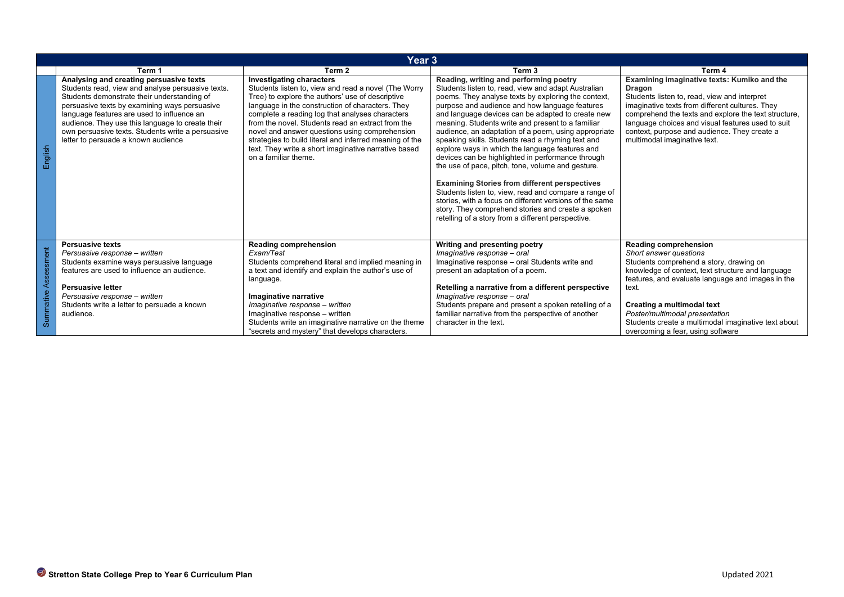|                      | Year <sub>3</sub>                                                                                                                                                                                                                                                                                                                                                                          |                                                                                                                                                                                                                                                                                                                                                                                                                                                                                                      |                                                                                                                                                                                                                                                                                                                                                                                                                                                                                                                                                                                                                                                                                                                                                                                                                                                                                    |                                                                                                                                                                                                                                                                                                                                                                           |  |
|----------------------|--------------------------------------------------------------------------------------------------------------------------------------------------------------------------------------------------------------------------------------------------------------------------------------------------------------------------------------------------------------------------------------------|------------------------------------------------------------------------------------------------------------------------------------------------------------------------------------------------------------------------------------------------------------------------------------------------------------------------------------------------------------------------------------------------------------------------------------------------------------------------------------------------------|------------------------------------------------------------------------------------------------------------------------------------------------------------------------------------------------------------------------------------------------------------------------------------------------------------------------------------------------------------------------------------------------------------------------------------------------------------------------------------------------------------------------------------------------------------------------------------------------------------------------------------------------------------------------------------------------------------------------------------------------------------------------------------------------------------------------------------------------------------------------------------|---------------------------------------------------------------------------------------------------------------------------------------------------------------------------------------------------------------------------------------------------------------------------------------------------------------------------------------------------------------------------|--|
|                      | Term 1                                                                                                                                                                                                                                                                                                                                                                                     | Term <sub>2</sub>                                                                                                                                                                                                                                                                                                                                                                                                                                                                                    | Term <sub>3</sub>                                                                                                                                                                                                                                                                                                                                                                                                                                                                                                                                                                                                                                                                                                                                                                                                                                                                  | Term 4                                                                                                                                                                                                                                                                                                                                                                    |  |
| English              | Analysing and creating persuasive texts<br>Students read, view and analyse persuasive texts.<br>Students demonstrate their understanding of<br>persuasive texts by examining ways persuasive<br>language features are used to influence an<br>audience. They use this language to create their<br>own persuasive texts. Students write a persuasive<br>letter to persuade a known audience | <b>Investigating characters</b><br>Students listen to, view and read a novel (The Worry<br>Tree) to explore the authors' use of descriptive<br>language in the construction of characters. They<br>complete a reading log that analyses characters<br>from the novel. Students read an extract from the<br>novel and answer questions using comprehension<br>strategies to build literal and inferred meaning of the<br>text. They write a short imaginative narrative based<br>on a familiar theme. | Reading, writing and performing poetry<br>Students listen to, read, view and adapt Australian<br>poems. They analyse texts by exploring the context,<br>purpose and audience and how language features<br>and language devices can be adapted to create new<br>meaning. Students write and present to a familiar<br>audience, an adaptation of a poem, using appropriate<br>speaking skills. Students read a rhyming text and<br>explore ways in which the language features and<br>devices can be highlighted in performance through<br>the use of pace, pitch, tone, volume and gesture.<br><b>Examining Stories from different perspectives</b><br>Students listen to, view, read and compare a range of<br>stories, with a focus on different versions of the same<br>story. They comprehend stories and create a spoken<br>retelling of a story from a different perspective. | Examining imaginative texts: Kumiko and the<br>Dragon<br>Students listen to, read, view and interpret<br>imaginative texts from different cultures. They<br>comprehend the texts and explore the text structure.<br>language choices and visual features used to suit<br>context, purpose and audience. They create a<br>multimodal imaginative text.                     |  |
| Summative Assessment | <b>Persuasive texts</b><br>Persuasive response - written<br>Students examine ways persuasive language<br>features are used to influence an audience.<br><b>Persuasive letter</b><br>Persuasive response - written<br>Students write a letter to persuade a known<br>audience.                                                                                                              | Reading comprehension<br>Exam/Test<br>Students comprehend literal and implied meaning in<br>a text and identify and explain the author's use of<br>language.<br>Imaginative narrative<br>Imaginative response - written<br>Imaginative response - written<br>Students write an imaginative narrative on the theme<br>"secrets and mystery" that develops characters.                                                                                                                                 | Writing and presenting poetry<br>Imaginative response - oral<br>Imaginative response - oral Students write and<br>present an adaptation of a poem.<br>Retelling a narrative from a different perspective<br>Imaginative response - oral<br>Students prepare and present a spoken retelling of a<br>familiar narrative from the perspective of another<br>character in the text.                                                                                                                                                                                                                                                                                                                                                                                                                                                                                                    | Reading comprehension<br>Short answer questions<br>Students comprehend a story, drawing on<br>knowledge of context, text structure and language<br>features, and evaluate language and images in the<br>text.<br>Creating a multimodal text<br>Poster/multimodal presentation<br>Students create a multimodal imaginative text about<br>overcoming a fear, using software |  |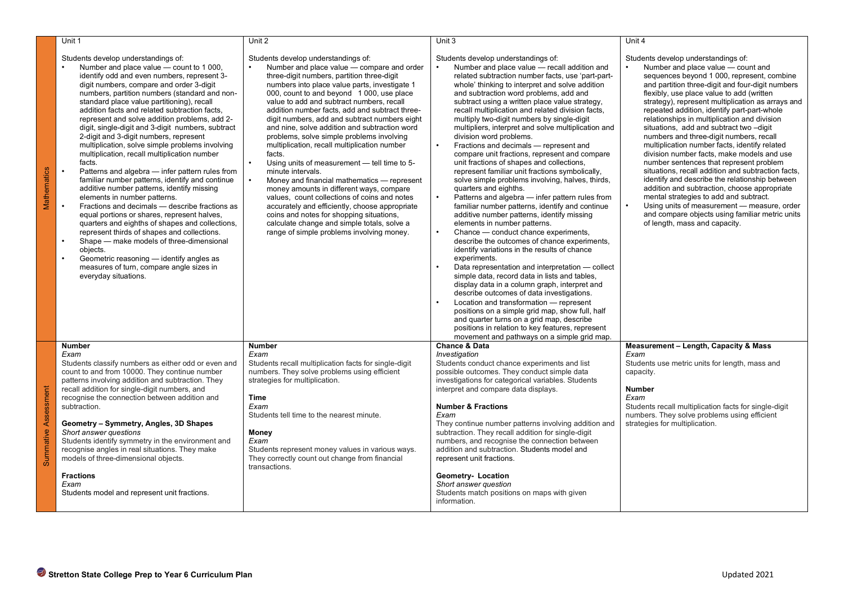|             | Unit 1                                                                                                                                                                                                                                                                                                                                                                                                                                                                                                                                                                                                                                                                                                                                                                                                                                                                                                                                                                                                                                                                                                                                                                                                     | Unit 2                                                                                                                                                                                                                                                                                                                                                                                                                                                                                                                                                                                                                                                                                                                                                                                                                                                                                                                                                       | Unit 3                                                                                                                                                                                                                                                                                                                                                                                                                                                                                                                                                                                                                                                                                                                                                                                                                                                                                                                                                                                                                                                                                                                                                                                                                                                                                                                                                                                                                                                                                                                                                                                                | Unit 4                                                                                                                                                                                                                                                                                                                                                                                                                                                                                                                                                                                                                                                                                                                                                                                                                                                                                                                                            |
|-------------|------------------------------------------------------------------------------------------------------------------------------------------------------------------------------------------------------------------------------------------------------------------------------------------------------------------------------------------------------------------------------------------------------------------------------------------------------------------------------------------------------------------------------------------------------------------------------------------------------------------------------------------------------------------------------------------------------------------------------------------------------------------------------------------------------------------------------------------------------------------------------------------------------------------------------------------------------------------------------------------------------------------------------------------------------------------------------------------------------------------------------------------------------------------------------------------------------------|--------------------------------------------------------------------------------------------------------------------------------------------------------------------------------------------------------------------------------------------------------------------------------------------------------------------------------------------------------------------------------------------------------------------------------------------------------------------------------------------------------------------------------------------------------------------------------------------------------------------------------------------------------------------------------------------------------------------------------------------------------------------------------------------------------------------------------------------------------------------------------------------------------------------------------------------------------------|-------------------------------------------------------------------------------------------------------------------------------------------------------------------------------------------------------------------------------------------------------------------------------------------------------------------------------------------------------------------------------------------------------------------------------------------------------------------------------------------------------------------------------------------------------------------------------------------------------------------------------------------------------------------------------------------------------------------------------------------------------------------------------------------------------------------------------------------------------------------------------------------------------------------------------------------------------------------------------------------------------------------------------------------------------------------------------------------------------------------------------------------------------------------------------------------------------------------------------------------------------------------------------------------------------------------------------------------------------------------------------------------------------------------------------------------------------------------------------------------------------------------------------------------------------------------------------------------------------|---------------------------------------------------------------------------------------------------------------------------------------------------------------------------------------------------------------------------------------------------------------------------------------------------------------------------------------------------------------------------------------------------------------------------------------------------------------------------------------------------------------------------------------------------------------------------------------------------------------------------------------------------------------------------------------------------------------------------------------------------------------------------------------------------------------------------------------------------------------------------------------------------------------------------------------------------|
| Mathematics | Students develop understandings of:<br>Number and place value - count to 1 000,<br>identify odd and even numbers, represent 3-<br>digit numbers, compare and order 3-digit<br>numbers, partition numbers (standard and non-<br>standard place value partitioning), recall<br>addition facts and related subtraction facts,<br>represent and solve addition problems, add 2-<br>digit, single-digit and 3-digit numbers, subtract<br>2-digit and 3-digit numbers, represent<br>multiplication, solve simple problems involving<br>multiplication, recall multiplication number<br>facts.<br>$\bullet$<br>Patterns and algebra - infer pattern rules from<br>familiar number patterns, identify and continue<br>additive number patterns, identify missing<br>elements in number patterns.<br>$\bullet$<br>Fractions and decimals - describe fractions as<br>equal portions or shares, represent halves,<br>quarters and eighths of shapes and collections,<br>represent thirds of shapes and collections.<br>Shape - make models of three-dimensional<br>$\bullet$<br>objects.<br>$\bullet$<br>Geometric reasoning - identify angles as<br>measures of turn, compare angle sizes in<br>everyday situations. | Students develop understandings of:<br>Number and place value - compare and order<br>three-digit numbers, partition three-digit<br>numbers into place value parts, investigate 1<br>000, count to and beyond 1 000, use place<br>value to add and subtract numbers, recall<br>addition number facts, add and subtract three-<br>digit numbers, add and subtract numbers eight<br>and nine, solve addition and subtraction word<br>problems, solve simple problems involving<br>multiplication, recall multiplication number<br>facts.<br>$\bullet$<br>Using units of measurement - tell time to 5-<br>minute intervals.<br>Money and financial mathematics - represent<br>money amounts in different ways, compare<br>values, count collections of coins and notes<br>accurately and efficiently, choose appropriate<br>coins and notes for shopping situations,<br>calculate change and simple totals, solve a<br>range of simple problems involving money. | Students develop understandings of:<br>Number and place value - recall addition and<br>related subtraction number facts, use 'part-part-<br>whole' thinking to interpret and solve addition<br>and subtraction word problems, add and<br>subtract using a written place value strategy,<br>recall multiplication and related division facts,<br>multiply two-digit numbers by single-digit<br>multipliers, interpret and solve multiplication and<br>division word problems.<br>Fractions and decimals - represent and<br>$\bullet$<br>compare unit fractions, represent and compare<br>unit fractions of shapes and collections,<br>represent familiar unit fractions symbolically,<br>solve simple problems involving, halves, thirds,<br>quarters and eighths.<br>Patterns and algebra - infer pattern rules from<br>$\bullet$<br>familiar number patterns, identify and continue<br>additive number patterns, identify missing<br>elements in number patterns.<br>$\bullet$<br>Chance - conduct chance experiments,<br>describe the outcomes of chance experiments,<br>identify variations in the results of chance<br>experiments.<br>Data representation and interpretation - collect<br>simple data, record data in lists and tables,<br>display data in a column graph, interpret and<br>describe outcomes of data investigations.<br>$\bullet$<br>Location and transformation - represent<br>positions on a simple grid map, show full, half<br>and quarter turns on a grid map, describe<br>positions in relation to key features, represent<br>movement and pathways on a simple grid map. | Students develop understandings of:<br>Number and place value - count and<br>sequences beyond 1 000, represent, combine<br>and partition three-digit and four-digit numbers<br>flexibly, use place value to add (written<br>strategy), represent multiplication as arrays and<br>repeated addition, identify part-part-whole<br>relationships in multiplication and division<br>situations, add and subtract two -digit<br>numbers and three-digit numbers, recall<br>multiplication number facts, identify related<br>division number facts, make models and use<br>number sentences that represent problem<br>situations, recall addition and subtraction facts.<br>identify and describe the relationship between<br>addition and subtraction, choose appropriate<br>mental strategies to add and subtract.<br>Using units of measurement - measure, order<br>and compare objects using familiar metric units<br>of length, mass and capacity. |
|             | <b>Number</b><br>Exam<br>Students classify numbers as either odd or even and<br>count to and from 10000. They continue number<br>patterns involving addition and subtraction. They<br>recall addition for single-digit numbers, and<br>recognise the connection between addition and<br>subtraction.<br>Geometry - Symmetry, Angles, 3D Shapes<br>Short answer questions<br>Students identify symmetry in the environment and<br>recognise angles in real situations. They make<br>models of three-dimensional objects.<br><b>Fractions</b><br>Exam<br>Students model and represent unit fractions.                                                                                                                                                                                                                                                                                                                                                                                                                                                                                                                                                                                                        | <b>Number</b><br>Exam<br>Students recall multiplication facts for single-digit<br>numbers. They solve problems using efficient<br>strategies for multiplication.<br>Time<br>Exam<br>Students tell time to the nearest minute.<br>Money<br>Exam<br>Students represent money values in various ways.<br>They correctly count out change from financial<br>transactions.                                                                                                                                                                                                                                                                                                                                                                                                                                                                                                                                                                                        | <b>Chance &amp; Data</b><br>Investigation<br>Students conduct chance experiments and list<br>possible outcomes. They conduct simple data<br>investigations for categorical variables. Students<br>interpret and compare data displays.<br><b>Number &amp; Fractions</b><br>Exam<br>They continue number patterns involving addition and<br>subtraction. They recall addition for single-digit<br>numbers, and recognise the connection between<br>addition and subtraction. Students model and<br>represent unit fractions.<br>Geometry- Location<br>Short answer question<br>Students match positions on maps with given<br>information.                                                                                                                                                                                                                                                                                                                                                                                                                                                                                                                                                                                                                                                                                                                                                                                                                                                                                                                                                             | <b>Measurement - Length, Capacity &amp; Mass</b><br>Exam<br>Students use metric units for length, mass and<br>capacity.<br><b>Number</b><br>Exam<br>Students recall multiplication facts for single-digit<br>numbers. They solve problems using efficient<br>strategies for multiplication.                                                                                                                                                                                                                                                                                                                                                                                                                                                                                                                                                                                                                                                       |
|             | Stretton State College Prep to Year 6 Curriculum Plan                                                                                                                                                                                                                                                                                                                                                                                                                                                                                                                                                                                                                                                                                                                                                                                                                                                                                                                                                                                                                                                                                                                                                      |                                                                                                                                                                                                                                                                                                                                                                                                                                                                                                                                                                                                                                                                                                                                                                                                                                                                                                                                                              |                                                                                                                                                                                                                                                                                                                                                                                                                                                                                                                                                                                                                                                                                                                                                                                                                                                                                                                                                                                                                                                                                                                                                                                                                                                                                                                                                                                                                                                                                                                                                                                                       | Updated 2021                                                                                                                                                                                                                                                                                                                                                                                                                                                                                                                                                                                                                                                                                                                                                                                                                                                                                                                                      |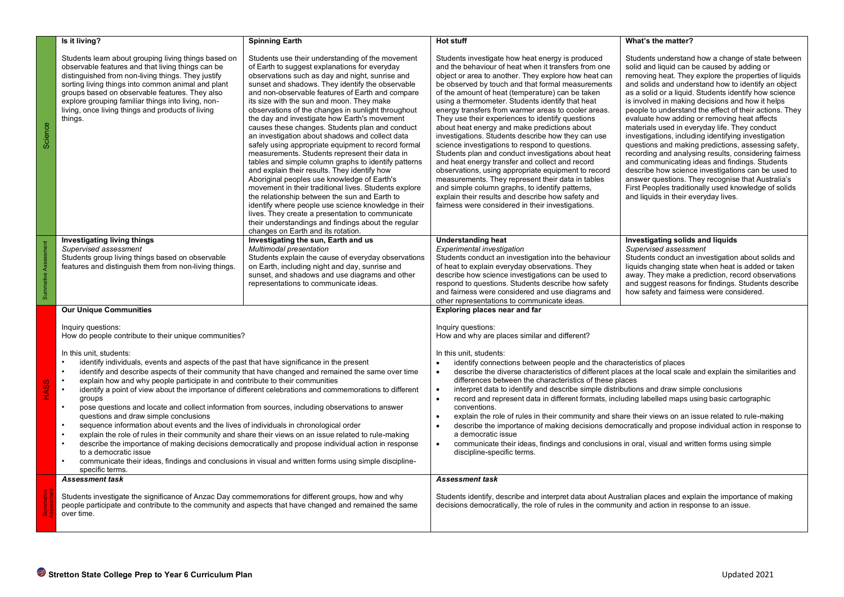|         | Is it living?                                                                                                                                                                                                                                                                                                                                                                                                                                                                                                                                                                                                                                                                                                                                                                                                                                           | <b>Spinning Earth</b>                                                                                                                                                                                                                                                                                                                                                                                                                                                                                                                                                                                                                                                                                                                                                                                                                                                                                                                                                                                                                                                                                    | <b>Hot stuff</b>                                                                                                                                                                                                                                                                                                                                                                                                                                                                                                                                                                                                                                                                                                                                                                                                                                                                                                                                                                                                                               | What's the matter?                                                                                                                                                                                                                                                                                                                                                                                                                                                                                                                                                                                                                                                                                                                                                                                                                                                                                                           |  |  |
|---------|---------------------------------------------------------------------------------------------------------------------------------------------------------------------------------------------------------------------------------------------------------------------------------------------------------------------------------------------------------------------------------------------------------------------------------------------------------------------------------------------------------------------------------------------------------------------------------------------------------------------------------------------------------------------------------------------------------------------------------------------------------------------------------------------------------------------------------------------------------|----------------------------------------------------------------------------------------------------------------------------------------------------------------------------------------------------------------------------------------------------------------------------------------------------------------------------------------------------------------------------------------------------------------------------------------------------------------------------------------------------------------------------------------------------------------------------------------------------------------------------------------------------------------------------------------------------------------------------------------------------------------------------------------------------------------------------------------------------------------------------------------------------------------------------------------------------------------------------------------------------------------------------------------------------------------------------------------------------------|------------------------------------------------------------------------------------------------------------------------------------------------------------------------------------------------------------------------------------------------------------------------------------------------------------------------------------------------------------------------------------------------------------------------------------------------------------------------------------------------------------------------------------------------------------------------------------------------------------------------------------------------------------------------------------------------------------------------------------------------------------------------------------------------------------------------------------------------------------------------------------------------------------------------------------------------------------------------------------------------------------------------------------------------|------------------------------------------------------------------------------------------------------------------------------------------------------------------------------------------------------------------------------------------------------------------------------------------------------------------------------------------------------------------------------------------------------------------------------------------------------------------------------------------------------------------------------------------------------------------------------------------------------------------------------------------------------------------------------------------------------------------------------------------------------------------------------------------------------------------------------------------------------------------------------------------------------------------------------|--|--|
| Science | Students learn about grouping living things based on<br>observable features and that living things can be<br>distinguished from non-living things. They justify<br>sorting living things into common animal and plant<br>groups based on observable features. They also<br>explore grouping familiar things into living, non-<br>living, once living things and products of living<br>things.                                                                                                                                                                                                                                                                                                                                                                                                                                                           | Students use their understanding of the movement<br>of Earth to suggest explanations for everyday<br>observations such as day and night, sunrise and<br>sunset and shadows. They identify the observable<br>and non-observable features of Earth and compare<br>its size with the sun and moon. They make<br>observations of the changes in sunlight throughout<br>the day and investigate how Earth's movement<br>causes these changes. Students plan and conduct<br>an investigation about shadows and collect data<br>safely using appropriate equipment to record formal<br>measurements. Students represent their data in<br>tables and simple column graphs to identify patterns<br>and explain their results. They identify how<br>Aboriginal peoples use knowledge of Earth's<br>movement in their traditional lives. Students explore<br>the relationship between the sun and Earth to<br>identify where people use science knowledge in their<br>lives. They create a presentation to communicate<br>their understandings and findings about the regular<br>changes on Earth and its rotation. | Students investigate how heat energy is produced<br>and the behaviour of heat when it transfers from one<br>object or area to another. They explore how heat can<br>be observed by touch and that formal measurements<br>of the amount of heat (temperature) can be taken<br>using a thermometer. Students identify that heat<br>energy transfers from warmer areas to cooler areas.<br>They use their experiences to identify questions<br>about heat energy and make predictions about<br>investigations. Students describe how they can use<br>science investigations to respond to questions.<br>Students plan and conduct investigations about heat<br>and heat energy transfer and collect and record<br>observations, using appropriate equipment to record<br>measurements. They represent their data in tables<br>and simple column graphs, to identify patterns,<br>explain their results and describe how safety and<br>fairness were considered in their investigations.                                                           | Students understand how a change of state between<br>solid and liquid can be caused by adding or<br>removing heat. They explore the properties of liquids<br>and solids and understand how to identify an object<br>as a solid or a liquid. Students identify how science<br>is involved in making decisions and how it helps<br>people to understand the effect of their actions. They<br>evaluate how adding or removing heat affects<br>materials used in everyday life. They conduct<br>investigations, including identifying investigation<br>questions and making predictions, assessing safety,<br>recording and analysing results, considering fairness<br>and communicating ideas and findings. Students<br>describe how science investigations can be used to<br>answer questions. They recognise that Australia's<br>First Peoples traditionally used knowledge of solids<br>and liquids in their everyday lives. |  |  |
|         | <b>Investigating living things</b><br>Supervised assessment<br>Students group living things based on observable<br>features and distinguish them from non-living things.                                                                                                                                                                                                                                                                                                                                                                                                                                                                                                                                                                                                                                                                                | Investigating the sun, Earth and us<br>Multimodal presentation<br>Students explain the cause of everyday observations<br>on Earth, including night and day, sunrise and<br>sunset, and shadows and use diagrams and other<br>representations to communicate ideas.                                                                                                                                                                                                                                                                                                                                                                                                                                                                                                                                                                                                                                                                                                                                                                                                                                       | <b>Understanding heat</b><br>Experimental investigation<br>Students conduct an investigation into the behaviour<br>of heat to explain everyday observations. They<br>describe how science investigations can be used to<br>respond to questions. Students describe how safety<br>and fairness were considered and use diagrams and<br>other representations to communicate ideas.                                                                                                                                                                                                                                                                                                                                                                                                                                                                                                                                                                                                                                                              | Investigating solids and liquids<br>Supervised assessment<br>Students conduct an investigation about solids and<br>liquids changing state when heat is added or taken<br>away. They make a prediction, record observations<br>and suggest reasons for findings. Students describe<br>how safety and fairness were considered.                                                                                                                                                                                                                                                                                                                                                                                                                                                                                                                                                                                                |  |  |
|         | <b>Our Unique Communities</b>                                                                                                                                                                                                                                                                                                                                                                                                                                                                                                                                                                                                                                                                                                                                                                                                                           |                                                                                                                                                                                                                                                                                                                                                                                                                                                                                                                                                                                                                                                                                                                                                                                                                                                                                                                                                                                                                                                                                                          | Exploring places near and far                                                                                                                                                                                                                                                                                                                                                                                                                                                                                                                                                                                                                                                                                                                                                                                                                                                                                                                                                                                                                  |                                                                                                                                                                                                                                                                                                                                                                                                                                                                                                                                                                                                                                                                                                                                                                                                                                                                                                                              |  |  |
|         | Inquiry questions:<br>How do people contribute to their unique communities?<br>In this unit, students:<br>identify individuals, events and aspects of the past that have significance in the present<br>explain how and why people participate in and contribute to their communities<br>$\bullet$<br>groups<br>pose questions and locate and collect information from sources, including observations to answer<br>questions and draw simple conclusions<br>sequence information about events and the lives of individuals in chronological order<br>to a democratic issue<br>specific terms.<br><b>Assessment task</b><br>Students investigate the significance of Anzac Day commemorations for different groups, how and why<br>people participate and contribute to the community and aspects that have changed and remained the same<br>over time. | identify and describe aspects of their community that have changed and remained the same over time<br>identify a point of view about the importance of different celebrations and commemorations to different<br>explain the role of rules in their community and share their views on an issue related to rule-making<br>describe the importance of making decisions democratically and propose individual action in response<br>communicate their ideas, findings and conclusions in visual and written forms using simple discipline-                                                                                                                                                                                                                                                                                                                                                                                                                                                                                                                                                                 | Inquiry questions:<br>How and why are places similar and different?<br>In this unit, students:<br>identify connections between people and the characteristics of places<br>$\bullet$<br>differences between the characteristics of these places<br>interpret data to identify and describe simple distributions and draw simple conclusions<br>$\bullet$<br>record and represent data in different formats, including labelled maps using basic cartographic<br>$\bullet$<br>conventions.<br>explain the role of rules in their community and share their views on an issue related to rule-making<br>$\bullet$<br>$\bullet$<br>a democratic issue<br>communicate their ideas, findings and conclusions in oral, visual and written forms using simple<br>$\bullet$<br>discipline-specific terms.<br><b>Assessment task</b><br>Students identify, describe and interpret data about Australian places and explain the importance of making<br>decisions democratically, the role of rules in the community and action in response to an issue. | describe the diverse characteristics of different places at the local scale and explain the similarities and<br>describe the importance of making decisions democratically and propose individual action in response to                                                                                                                                                                                                                                                                                                                                                                                                                                                                                                                                                                                                                                                                                                      |  |  |
|         |                                                                                                                                                                                                                                                                                                                                                                                                                                                                                                                                                                                                                                                                                                                                                                                                                                                         |                                                                                                                                                                                                                                                                                                                                                                                                                                                                                                                                                                                                                                                                                                                                                                                                                                                                                                                                                                                                                                                                                                          |                                                                                                                                                                                                                                                                                                                                                                                                                                                                                                                                                                                                                                                                                                                                                                                                                                                                                                                                                                                                                                                |                                                                                                                                                                                                                                                                                                                                                                                                                                                                                                                                                                                                                                                                                                                                                                                                                                                                                                                              |  |  |
|         | Stretton State College Prep to Year 6 Curriculum Plan<br>Updated 2021                                                                                                                                                                                                                                                                                                                                                                                                                                                                                                                                                                                                                                                                                                                                                                                   |                                                                                                                                                                                                                                                                                                                                                                                                                                                                                                                                                                                                                                                                                                                                                                                                                                                                                                                                                                                                                                                                                                          |                                                                                                                                                                                                                                                                                                                                                                                                                                                                                                                                                                                                                                                                                                                                                                                                                                                                                                                                                                                                                                                |                                                                                                                                                                                                                                                                                                                                                                                                                                                                                                                                                                                                                                                                                                                                                                                                                                                                                                                              |  |  |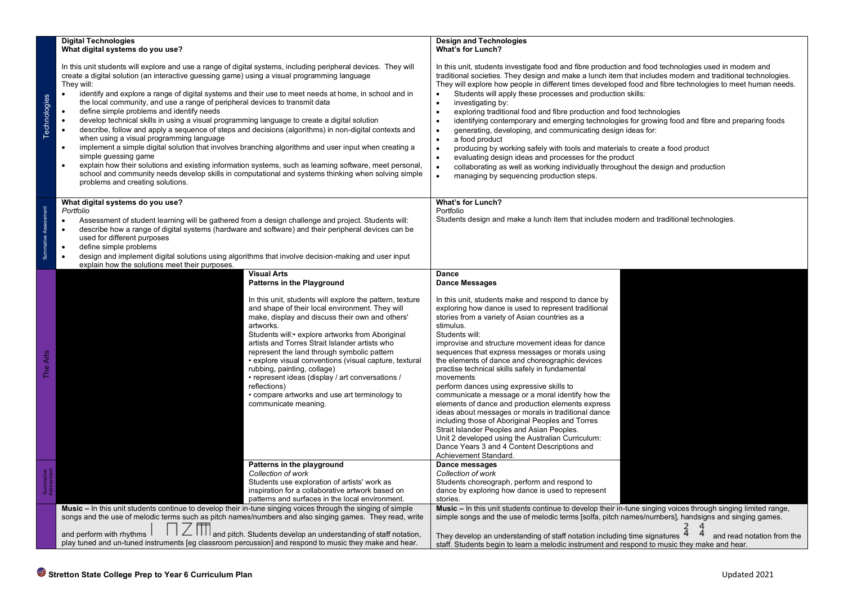|                                                                                                                                                                                                                                                                                                                                                                                                                                                                                                                                                                                                                                                                                                                                                                                                                                                                                                                                                                                                                                                                                                                                                                                                       | <b>Digital Technologies</b><br>What digital systems do you use?                                                                                                                                                                                                                                                                                                                                                                                                               |                                                                                                                                                                                                                                                                                                                                                                                                                                                                                                                                                                                                                             | <b>Design and Technologies</b><br><b>What's for Lunch?</b>                                                                                                                                                                                                                                                                                                                                                                                                                                                                                                                                                                                                                                                                                                                                                                                                                                                                                                                                                                                                                                         |  |  |
|-------------------------------------------------------------------------------------------------------------------------------------------------------------------------------------------------------------------------------------------------------------------------------------------------------------------------------------------------------------------------------------------------------------------------------------------------------------------------------------------------------------------------------------------------------------------------------------------------------------------------------------------------------------------------------------------------------------------------------------------------------------------------------------------------------------------------------------------------------------------------------------------------------------------------------------------------------------------------------------------------------------------------------------------------------------------------------------------------------------------------------------------------------------------------------------------------------|-------------------------------------------------------------------------------------------------------------------------------------------------------------------------------------------------------------------------------------------------------------------------------------------------------------------------------------------------------------------------------------------------------------------------------------------------------------------------------|-----------------------------------------------------------------------------------------------------------------------------------------------------------------------------------------------------------------------------------------------------------------------------------------------------------------------------------------------------------------------------------------------------------------------------------------------------------------------------------------------------------------------------------------------------------------------------------------------------------------------------|----------------------------------------------------------------------------------------------------------------------------------------------------------------------------------------------------------------------------------------------------------------------------------------------------------------------------------------------------------------------------------------------------------------------------------------------------------------------------------------------------------------------------------------------------------------------------------------------------------------------------------------------------------------------------------------------------------------------------------------------------------------------------------------------------------------------------------------------------------------------------------------------------------------------------------------------------------------------------------------------------------------------------------------------------------------------------------------------------|--|--|
| In this unit students will explore and use a range of digital systems, including peripheral devices. They will<br>create a digital solution (an interactive guessing game) using a visual programming language<br>They will:<br>identify and explore a range of digital systems and their use to meet needs at home, in school and in<br>$\bullet$<br>the local community, and use a range of peripheral devices to transmit data<br>9<br>define simple problems and identify needs<br>$\bullet$<br>develop technical skills in using a visual programming language to create a digital solution<br>$\bullet$<br>describe, follow and apply a sequence of steps and decisions (algorithms) in non-digital contexts and<br>$\bullet$<br>Φ<br>when using a visual programming language<br>implement a simple digital solution that involves branching algorithms and user input when creating a<br>$\bullet$<br>simple guessing game<br>explain how their solutions and existing information systems, such as learning software, meet personal,<br>$\bullet$<br>school and community needs develop skills in computational and systems thinking when solving simple<br>problems and creating solutions. |                                                                                                                                                                                                                                                                                                                                                                                                                                                                               |                                                                                                                                                                                                                                                                                                                                                                                                                                                                                                                                                                                                                             | In this unit, students investigate food and fibre production and food technologies used in modern and<br>traditional societies. They design and make a lunch item that includes modern and traditional technologies.<br>They will explore how people in different times developed food and fibre technologies to meet human needs.<br>$\bullet$<br>Students will apply these processes and production skills:<br>$\bullet$<br>investigating by:<br>exploring traditional food and fibre production and food technologies<br>$\bullet$<br>identifying contemporary and emerging technologies for growing food and fibre and preparing foods<br>$\bullet$<br>generating, developing, and communicating design ideas for:<br>$\bullet$<br>a food product<br>$\bullet$<br>producing by working safely with tools and materials to create a food product<br>$\bullet$<br>evaluating design ideas and processes for the product<br>$\bullet$<br>collaborating as well as working individually throughout the design and production<br>$\bullet$<br>$\bullet$<br>managing by sequencing production steps. |  |  |
|                                                                                                                                                                                                                                                                                                                                                                                                                                                                                                                                                                                                                                                                                                                                                                                                                                                                                                                                                                                                                                                                                                                                                                                                       | What digital systems do you use?<br>Portfolio<br>Assessment of student learning will be gathered from a design challenge and project. Students will:<br>describe how a range of digital systems (hardware and software) and their peripheral devices can be<br>used for different purposes<br>define simple problems<br>design and implement digital solutions using algorithms that involve decision-making and user input<br>explain how the solutions meet their purposes. |                                                                                                                                                                                                                                                                                                                                                                                                                                                                                                                                                                                                                             | <b>What's for Lunch?</b><br>Portfolio<br>Students design and make a lunch item that includes modern and traditional technologies.                                                                                                                                                                                                                                                                                                                                                                                                                                                                                                                                                                                                                                                                                                                                                                                                                                                                                                                                                                  |  |  |
| Arts                                                                                                                                                                                                                                                                                                                                                                                                                                                                                                                                                                                                                                                                                                                                                                                                                                                                                                                                                                                                                                                                                                                                                                                                  |                                                                                                                                                                                                                                                                                                                                                                                                                                                                               | <b>Visual Arts</b><br>Patterns in the Playground<br>In this unit, students will explore the pattern, texture<br>and shape of their local environment. They will<br>make, display and discuss their own and others'<br>artworks.<br>Students will: • explore artworks from Aboriginal<br>artists and Torres Strait Islander artists who<br>represent the land through symbolic pattern<br>• explore visual conventions (visual capture, textural<br>rubbing, painting, collage)<br>• represent ideas (display / art conversations /<br>reflections)<br>• compare artworks and use art terminology to<br>communicate meaning. | <b>Dance</b><br><b>Dance Messages</b><br>In this unit, students make and respond to dance by<br>exploring how dance is used to represent traditional<br>stories from a variety of Asian countries as a<br>stimulus.<br>Students will:<br>improvise and structure movement ideas for dance<br>sequences that express messages or morals using<br>the elements of dance and choreographic devices<br>practise technical skills safely in fundamental<br>movements<br>perform dances using expressive skills to<br>communicate a message or a moral identify how the<br>elements of dance and production elements express<br>ideas about messages or morals in traditional dance<br>including those of Aboriginal Peoples and Torres<br>Strait Islander Peoples and Asian Peoples.<br>Unit 2 developed using the Australian Curriculum:<br>Dance Years 3 and 4 Content Descriptions and<br>Achievement Standard.                                                                                                                                                                                      |  |  |
|                                                                                                                                                                                                                                                                                                                                                                                                                                                                                                                                                                                                                                                                                                                                                                                                                                                                                                                                                                                                                                                                                                                                                                                                       |                                                                                                                                                                                                                                                                                                                                                                                                                                                                               | Patterns in the playground<br>Collection of work<br>Students use exploration of artists' work as<br>inspiration for a collaborative artwork based on<br>patterns and surfaces in the local environment.                                                                                                                                                                                                                                                                                                                                                                                                                     | Dance messages<br>Collection of work<br>Students choreograph, perform and respond to<br>dance by exploring how dance is used to represent<br>stories.                                                                                                                                                                                                                                                                                                                                                                                                                                                                                                                                                                                                                                                                                                                                                                                                                                                                                                                                              |  |  |
|                                                                                                                                                                                                                                                                                                                                                                                                                                                                                                                                                                                                                                                                                                                                                                                                                                                                                                                                                                                                                                                                                                                                                                                                       | Music – In this unit students continue to develop their in-tune singing voices through the singing of simple<br>songs and the use of melodic terms such as pitch names/numbers and also singing games. They read, write<br>and perform with rhythms<br>play tuned and un-tuned instruments [eq classroom percussion] and respond to music they make and hear.                                                                                                                 | and pitch. Students develop an understanding of staff notation,                                                                                                                                                                                                                                                                                                                                                                                                                                                                                                                                                             | Music - In this unit students continue to develop their in-tune singing voices through singing limited range,<br>simple songs and the use of melodic terms [solfa, pitch names/numbers], handsigns and singing games.<br>They develop an understanding of staff notation including time signatures 4<br>and read notation from the<br>staff. Students begin to learn a melodic instrument and respond to music they make and hear.                                                                                                                                                                                                                                                                                                                                                                                                                                                                                                                                                                                                                                                                 |  |  |
|                                                                                                                                                                                                                                                                                                                                                                                                                                                                                                                                                                                                                                                                                                                                                                                                                                                                                                                                                                                                                                                                                                                                                                                                       | Updated 2021<br>Stretton State College Prep to Year 6 Curriculum Plan                                                                                                                                                                                                                                                                                                                                                                                                         |                                                                                                                                                                                                                                                                                                                                                                                                                                                                                                                                                                                                                             |                                                                                                                                                                                                                                                                                                                                                                                                                                                                                                                                                                                                                                                                                                                                                                                                                                                                                                                                                                                                                                                                                                    |  |  |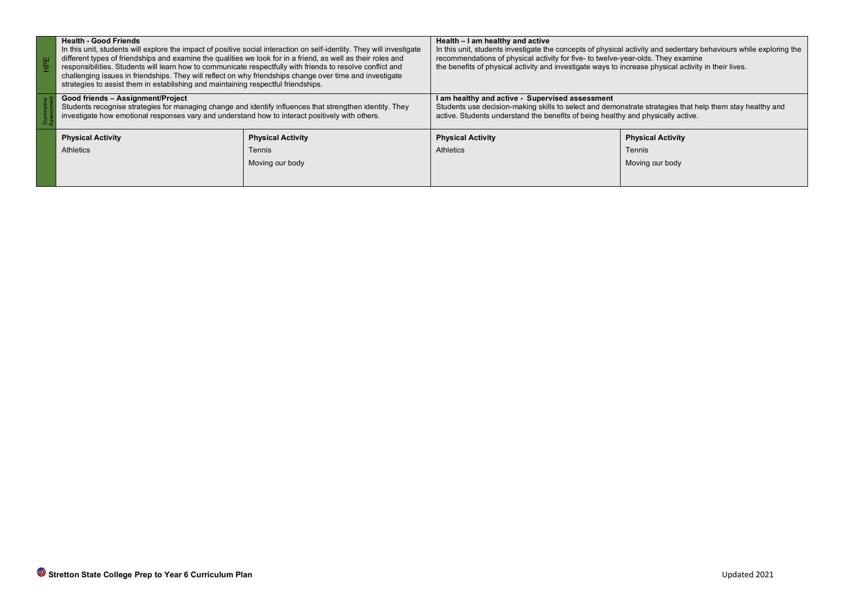| $H^{\text{L}}$ | <b>Health - Good Friends</b><br>In this unit, students will explore the impact of positive social interaction on self-identity. They will investigate<br>different types of friendships and examine the qualities we look for in a friend, as well as their roles and<br>responsibilities. Students will learn how to communicate respectfully with friends to resolve conflict and<br>challenging issues in friendships. They will reflect on why friendships change over time and investigate<br>strategies to assist them in establishing and maintaining respectful friendships. |                                                       | Health - I am healthy and active<br>In this unit, students investigate the concepts of physical activity and sedentary behaviours while exploring the<br>recommendations of physical activity for five- to twelve-year-olds. They examine<br>the benefits of physical activity and investigate ways to increase physical activity in their lives. |                                                       |
|----------------|--------------------------------------------------------------------------------------------------------------------------------------------------------------------------------------------------------------------------------------------------------------------------------------------------------------------------------------------------------------------------------------------------------------------------------------------------------------------------------------------------------------------------------------------------------------------------------------|-------------------------------------------------------|---------------------------------------------------------------------------------------------------------------------------------------------------------------------------------------------------------------------------------------------------------------------------------------------------------------------------------------------------|-------------------------------------------------------|
|                | Good friends - Assignment/Project<br>Students recognise strategies for managing change and identify influences that strengthen identity. They<br>investigate how emotional responses vary and understand how to interact positively with others.                                                                                                                                                                                                                                                                                                                                     |                                                       | I am healthy and active - Supervised assessment<br>Students use decision-making skills to select and demonstrate strategies that help them stay healthy and<br>active. Students understand the benefits of being healthy and physically active.                                                                                                   |                                                       |
|                | <b>Physical Activity</b><br>Athletics                                                                                                                                                                                                                                                                                                                                                                                                                                                                                                                                                | <b>Physical Activity</b><br>Tennis<br>Moving our body | <b>Physical Activity</b><br>Athletics                                                                                                                                                                                                                                                                                                             | <b>Physical Activity</b><br>Tennis<br>Moving our body |
|                |                                                                                                                                                                                                                                                                                                                                                                                                                                                                                                                                                                                      |                                                       |                                                                                                                                                                                                                                                                                                                                                   |                                                       |
|                |                                                                                                                                                                                                                                                                                                                                                                                                                                                                                                                                                                                      |                                                       |                                                                                                                                                                                                                                                                                                                                                   |                                                       |
|                |                                                                                                                                                                                                                                                                                                                                                                                                                                                                                                                                                                                      |                                                       |                                                                                                                                                                                                                                                                                                                                                   |                                                       |
|                |                                                                                                                                                                                                                                                                                                                                                                                                                                                                                                                                                                                      |                                                       |                                                                                                                                                                                                                                                                                                                                                   |                                                       |
|                |                                                                                                                                                                                                                                                                                                                                                                                                                                                                                                                                                                                      |                                                       |                                                                                                                                                                                                                                                                                                                                                   |                                                       |
|                |                                                                                                                                                                                                                                                                                                                                                                                                                                                                                                                                                                                      |                                                       |                                                                                                                                                                                                                                                                                                                                                   |                                                       |
|                |                                                                                                                                                                                                                                                                                                                                                                                                                                                                                                                                                                                      |                                                       |                                                                                                                                                                                                                                                                                                                                                   |                                                       |
|                |                                                                                                                                                                                                                                                                                                                                                                                                                                                                                                                                                                                      |                                                       |                                                                                                                                                                                                                                                                                                                                                   |                                                       |
|                |                                                                                                                                                                                                                                                                                                                                                                                                                                                                                                                                                                                      |                                                       |                                                                                                                                                                                                                                                                                                                                                   |                                                       |
|                | Stretton State College Prep to Year 6 Curriculum Plan                                                                                                                                                                                                                                                                                                                                                                                                                                                                                                                                |                                                       | Updated 2021                                                                                                                                                                                                                                                                                                                                      |                                                       |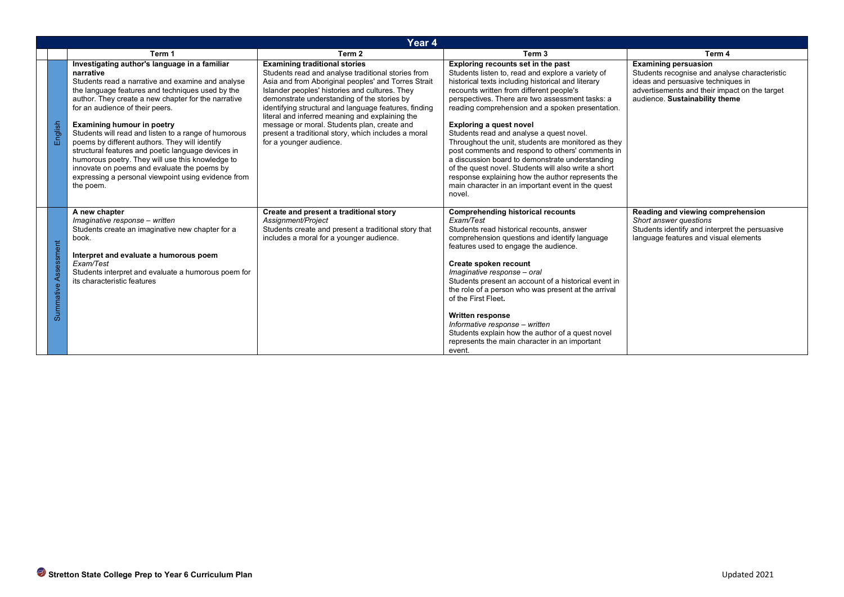| Year 4                  |                                                                                                                                                                                                                                                                                                                                                                                                                                                                                                                                                                                                                                           |                                                                                                                                                                                                                                                                                                                                                                                                                                                                                                 |                                                                                                                                                                                                                                                                                                                                                                                                                                                                                                                                                                                                                                                                                                                   |                                                                                                                                                                                                       |
|-------------------------|-------------------------------------------------------------------------------------------------------------------------------------------------------------------------------------------------------------------------------------------------------------------------------------------------------------------------------------------------------------------------------------------------------------------------------------------------------------------------------------------------------------------------------------------------------------------------------------------------------------------------------------------|-------------------------------------------------------------------------------------------------------------------------------------------------------------------------------------------------------------------------------------------------------------------------------------------------------------------------------------------------------------------------------------------------------------------------------------------------------------------------------------------------|-------------------------------------------------------------------------------------------------------------------------------------------------------------------------------------------------------------------------------------------------------------------------------------------------------------------------------------------------------------------------------------------------------------------------------------------------------------------------------------------------------------------------------------------------------------------------------------------------------------------------------------------------------------------------------------------------------------------|-------------------------------------------------------------------------------------------------------------------------------------------------------------------------------------------------------|
|                         | Term 1                                                                                                                                                                                                                                                                                                                                                                                                                                                                                                                                                                                                                                    | Term 2                                                                                                                                                                                                                                                                                                                                                                                                                                                                                          | Term 3                                                                                                                                                                                                                                                                                                                                                                                                                                                                                                                                                                                                                                                                                                            | Term 4                                                                                                                                                                                                |
| English                 | Investigating author's language in a familiar<br>narrative<br>Students read a narrative and examine and analyse<br>the language features and techniques used by the<br>author. They create a new chapter for the narrative<br>for an audience of their peers.<br><b>Examining humour in poetry</b><br>Students will read and listen to a range of humorous<br>poems by different authors. They will identify<br>structural features and poetic language devices in<br>humorous poetry. They will use this knowledge to<br>innovate on poems and evaluate the poems by<br>expressing a personal viewpoint using evidence from<br>the poem. | <b>Examining traditional stories</b><br>Students read and analyse traditional stories from<br>Asia and from Aboriginal peoples' and Torres Strait<br>Islander peoples' histories and cultures. They<br>demonstrate understanding of the stories by<br>identifying structural and language features, finding<br>literal and inferred meaning and explaining the<br>message or moral. Students plan, create and<br>present a traditional story, which includes a moral<br>for a younger audience. | Exploring recounts set in the past<br>Students listen to, read and explore a variety of<br>historical texts including historical and literary<br>recounts written from different people's<br>perspectives. There are two assessment tasks: a<br>reading comprehension and a spoken presentation.<br>Exploring a quest novel<br>Students read and analyse a quest novel.<br>Throughout the unit, students are monitored as they<br>post comments and respond to others' comments in<br>a discussion board to demonstrate understanding<br>of the quest novel. Students will also write a short<br>response explaining how the author represents the<br>main character in an important event in the quest<br>novel. | <b>Examining persuasion</b><br>Students recognise and analyse characteristic<br>ideas and persuasive techniques in<br>advertisements and their impact on the target<br>audience. Sustainability theme |
| Assessment<br>Summative | A new chapter<br>Imaginative response - written<br>Students create an imaginative new chapter for a<br>book.<br>Interpret and evaluate a humorous poem<br>Exam/Test<br>Students interpret and evaluate a humorous poem for<br>its characteristic features                                                                                                                                                                                                                                                                                                                                                                                 | Create and present a traditional story<br>Assignment/Project<br>Students create and present a traditional story that<br>includes a moral for a younger audience.                                                                                                                                                                                                                                                                                                                                | <b>Comprehending historical recounts</b><br>Exam/Test<br>Students read historical recounts, answer<br>comprehension questions and identify language<br>features used to engage the audience.<br>Create spoken recount<br>Imaginative response - oral<br>Students present an account of a historical event in<br>the role of a person who was present at the arrival<br>of the First Fleet.<br><b>Written response</b><br>Informative response - written<br>Students explain how the author of a quest novel<br>represents the main character in an important<br>event.                                                                                                                                            | Reading and viewing comprehension<br>Short answer questions<br>Students identify and interpret the persuasive<br>language features and visual elements                                                |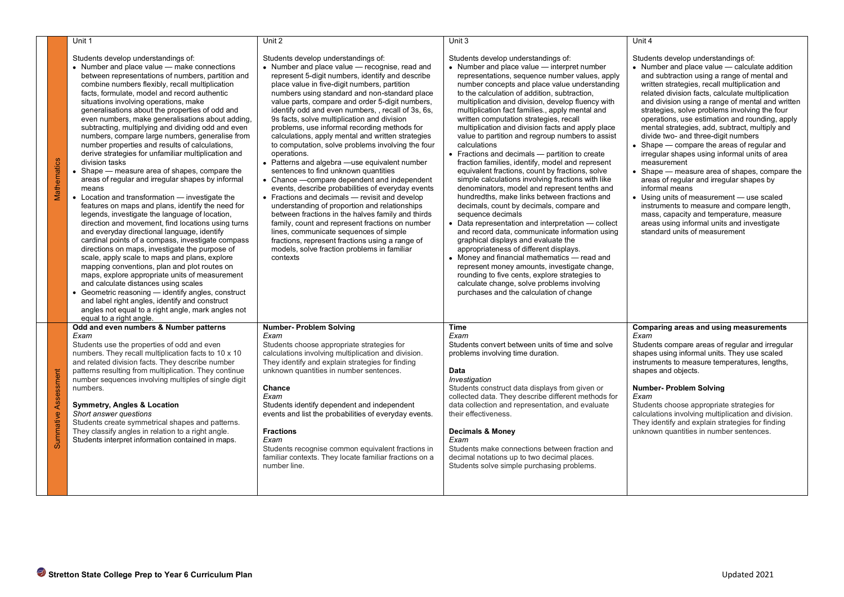|                                                                       | Unit 1                                                                                                                                                                                                                                                                                                                                                                                                                                                                                                                                                                                                                                                                                                                                                                                                                                                                                                                                                                                                                                                                                                                                                                                                                                                                                                                                                                                                                                                                                                  | Unit 2                                                                                                                                                                                                                                                                                                                                                                                                                                                                                                                                                                                                                                                                                                                                                                                                                                                                                                                                                                                                                                                                                                                                      | Unit 3                                                                                                                                                                                                                                                                                                                                                                                                                                                                                                                                                                                                                                                                                                                                                                                                                                                                                                                                                                                                                                                                                                                                                                                                                                                                                                                           | Unit 4                                                                                                                                                                                                                                                                                                                                                                                                                                                                                                                                                                                                                                                                                                                                                                                                                                                                                                                                     |  |
|-----------------------------------------------------------------------|---------------------------------------------------------------------------------------------------------------------------------------------------------------------------------------------------------------------------------------------------------------------------------------------------------------------------------------------------------------------------------------------------------------------------------------------------------------------------------------------------------------------------------------------------------------------------------------------------------------------------------------------------------------------------------------------------------------------------------------------------------------------------------------------------------------------------------------------------------------------------------------------------------------------------------------------------------------------------------------------------------------------------------------------------------------------------------------------------------------------------------------------------------------------------------------------------------------------------------------------------------------------------------------------------------------------------------------------------------------------------------------------------------------------------------------------------------------------------------------------------------|---------------------------------------------------------------------------------------------------------------------------------------------------------------------------------------------------------------------------------------------------------------------------------------------------------------------------------------------------------------------------------------------------------------------------------------------------------------------------------------------------------------------------------------------------------------------------------------------------------------------------------------------------------------------------------------------------------------------------------------------------------------------------------------------------------------------------------------------------------------------------------------------------------------------------------------------------------------------------------------------------------------------------------------------------------------------------------------------------------------------------------------------|----------------------------------------------------------------------------------------------------------------------------------------------------------------------------------------------------------------------------------------------------------------------------------------------------------------------------------------------------------------------------------------------------------------------------------------------------------------------------------------------------------------------------------------------------------------------------------------------------------------------------------------------------------------------------------------------------------------------------------------------------------------------------------------------------------------------------------------------------------------------------------------------------------------------------------------------------------------------------------------------------------------------------------------------------------------------------------------------------------------------------------------------------------------------------------------------------------------------------------------------------------------------------------------------------------------------------------|--------------------------------------------------------------------------------------------------------------------------------------------------------------------------------------------------------------------------------------------------------------------------------------------------------------------------------------------------------------------------------------------------------------------------------------------------------------------------------------------------------------------------------------------------------------------------------------------------------------------------------------------------------------------------------------------------------------------------------------------------------------------------------------------------------------------------------------------------------------------------------------------------------------------------------------------|--|
| <b>Mathematics</b>                                                    | Students develop understandings of:<br>• Number and place value – make connections<br>between representations of numbers, partition and<br>combine numbers flexibly, recall multiplication<br>facts, formulate, model and record authentic<br>situations involving operations, make<br>generalisations about the properties of odd and<br>even numbers, make generalisations about adding,<br>subtracting, multiplying and dividing odd and even<br>numbers, compare large numbers, generalise from<br>number properties and results of calculations.<br>derive strategies for unfamiliar multiplication and<br>division tasks<br>• Shape — measure area of shapes, compare the<br>areas of regular and irregular shapes by informal<br>means<br>• Location and transformation - investigate the<br>features on maps and plans, identify the need for<br>legends, investigate the language of location,<br>direction and movement, find locations using turns<br>and everyday directional language, identify<br>cardinal points of a compass, investigate compass<br>directions on maps, investigate the purpose of<br>scale, apply scale to maps and plans, explore<br>mapping conventions, plan and plot routes on<br>maps, explore appropriate units of measurement<br>and calculate distances using scales<br>• Geometric reasoning - identify angles, construct<br>and label right angles, identify and construct<br>angles not equal to a right angle, mark angles not<br>equal to a right angle. | Students develop understandings of:<br>• Number and place value - recognise, read and<br>represent 5-digit numbers, identify and describe<br>place value in five-digit numbers, partition<br>numbers using standard and non-standard place<br>value parts, compare and order 5-digit numbers,<br>identify odd and even numbers, , recall of 3s, 6s,<br>9s facts, solve multiplication and division<br>problems, use informal recording methods for<br>calculations, apply mental and written strategies<br>to computation, solve problems involving the four<br>operations.<br>• Patterns and algebra -use equivalent number<br>sentences to find unknown quantities<br>• Chance —compare dependent and independent<br>events, describe probabilities of everyday events<br>• Fractions and decimals – revisit and develop<br>understanding of proportion and relationships<br>between fractions in the halves family and thirds<br>family, count and represent fractions on number<br>lines, communicate sequences of simple<br>fractions, represent fractions using a range of<br>models, solve fraction problems in familiar<br>contexts | Students develop understandings of:<br>• Number and place value - interpret number<br>representations, sequence number values, apply<br>number concepts and place value understanding<br>to the calculation of addition, subtraction,<br>multiplication and division, develop fluency with<br>multiplication fact families., apply mental and<br>written computation strategies, recall<br>multiplication and division facts and apply place<br>value to partition and regroup numbers to assist<br>calculations<br>• Fractions and decimals - partition to create<br>fraction families, identify, model and represent<br>equivalent fractions, count by fractions, solve<br>simple calculations involving fractions with like<br>denominators, model and represent tenths and<br>hundredths, make links between fractions and<br>decimals, count by decimals, compare and<br>sequence decimals<br>Data representation and interpretation — collect<br>and record data, communicate information using<br>graphical displays and evaluate the<br>appropriateness of different displays.<br>• Money and financial mathematics - read and<br>represent money amounts, investigate change,<br>rounding to five cents, explore strategies to<br>calculate change, solve problems involving<br>purchases and the calculation of change | Students develop understandings of:<br>• Number and place value - calculate addition<br>and subtraction using a range of mental and<br>written strategies, recall multiplication and<br>related division facts, calculate multiplication<br>and division using a range of mental and written<br>strategies, solve problems involving the four<br>operations, use estimation and rounding, apply<br>mental strategies, add, subtract, multiply and<br>divide two- and three-digit numbers<br>• Shape — compare the areas of regular and<br>irregular shapes using informal units of area<br>measurement<br>• Shape — measure area of shapes, compare the<br>areas of regular and irregular shapes by<br>informal means<br>• Using units of measurement - use scaled<br>instruments to measure and compare length,<br>mass, capacity and temperature, measure<br>areas using informal units and investigate<br>standard units of measurement |  |
| Summative Assessment                                                  | Odd and even numbers & Number patterns<br>Exam<br>Students use the properties of odd and even<br>numbers. They recall multiplication facts to 10 x 10<br>and related division facts. They describe number<br>patterns resulting from multiplication. They continue<br>number sequences involving multiples of single digit<br>numbers.<br><b>Symmetry, Angles &amp; Location</b><br>Short answer questions<br>Students create symmetrical shapes and patterns.<br>They classify angles in relation to a right angle.<br>Students interpret information contained in maps.                                                                                                                                                                                                                                                                                                                                                                                                                                                                                                                                                                                                                                                                                                                                                                                                                                                                                                                               | <b>Number-Problem Solving</b><br>Exam<br>Students choose appropriate strategies for<br>calculations involving multiplication and division.<br>They identify and explain strategies for finding<br>unknown quantities in number sentences.<br>Chance<br>Exam<br>Students identify dependent and independent<br>events and list the probabilities of everyday events.<br><b>Fractions</b><br>Exam<br>Students recognise common equivalent fractions in<br>familiar contexts. They locate familiar fractions on a<br>number line.                                                                                                                                                                                                                                                                                                                                                                                                                                                                                                                                                                                                              | Time<br>Exam<br>Students convert between units of time and solve<br>problems involving time duration.<br>Data<br>Investigation<br>Students construct data displays from given or<br>collected data. They describe different methods for<br>data collection and representation, and evaluate<br>their effectiveness.<br><b>Decimals &amp; Money</b><br>Exam<br>Students make connections between fraction and<br>decimal notations up to two decimal places.<br>Students solve simple purchasing problems.                                                                                                                                                                                                                                                                                                                                                                                                                                                                                                                                                                                                                                                                                                                                                                                                                        | Comparing areas and using measurements<br>Exam<br>Students compare areas of regular and irregular<br>shapes using informal units. They use scaled<br>instruments to measure temperatures, lengths,<br>shapes and objects.<br><b>Number-Problem Solving</b><br>Exam<br>Students choose appropriate strategies for<br>calculations involving multiplication and division.<br>They identify and explain strategies for finding<br>unknown quantities in number sentences.                                                                                                                                                                                                                                                                                                                                                                                                                                                                     |  |
| Stretton State College Prep to Year 6 Curriculum Plan<br>Updated 2021 |                                                                                                                                                                                                                                                                                                                                                                                                                                                                                                                                                                                                                                                                                                                                                                                                                                                                                                                                                                                                                                                                                                                                                                                                                                                                                                                                                                                                                                                                                                         |                                                                                                                                                                                                                                                                                                                                                                                                                                                                                                                                                                                                                                                                                                                                                                                                                                                                                                                                                                                                                                                                                                                                             |                                                                                                                                                                                                                                                                                                                                                                                                                                                                                                                                                                                                                                                                                                                                                                                                                                                                                                                                                                                                                                                                                                                                                                                                                                                                                                                                  |                                                                                                                                                                                                                                                                                                                                                                                                                                                                                                                                                                                                                                                                                                                                                                                                                                                                                                                                            |  |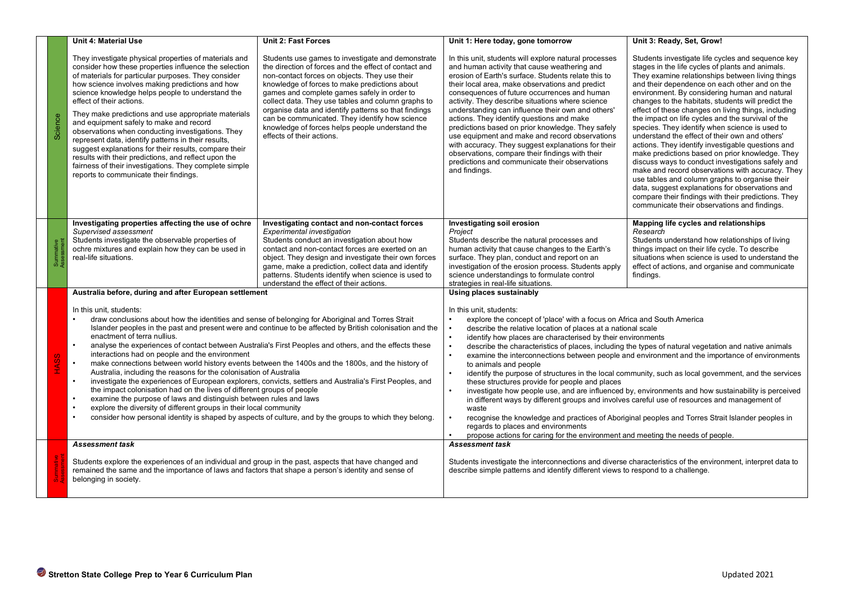|                                                                                                                                                                                                                                                                                                                                                                                                                                                                                                                                                                                                                                                                                                                                                                                                                                                                                                                                                                                                                                                                                                                                                                                                               | Unit 4: Material Use                                                                                                                                                                                                                                                                                                                                                                                                                                                                                                                                                                                                                                                                                                                        | <b>Unit 2: Fast Forces</b>                                                                                                                                                                                                                                                                                                                                                                                                                                                                                                                                                  | Unit 1: Here today, gone tomorrow                                                                                                                                                                                                                                                                                                                                                                                                                                                                                                                                                                                                                                                                        | Unit 3: Ready, Set, Grow!                                                                                                                                                                                                                                                                                                                                                                                                                                                                                                                                                                                                                                                                                                                                                                                                                                                                                                                                      |  |
|---------------------------------------------------------------------------------------------------------------------------------------------------------------------------------------------------------------------------------------------------------------------------------------------------------------------------------------------------------------------------------------------------------------------------------------------------------------------------------------------------------------------------------------------------------------------------------------------------------------------------------------------------------------------------------------------------------------------------------------------------------------------------------------------------------------------------------------------------------------------------------------------------------------------------------------------------------------------------------------------------------------------------------------------------------------------------------------------------------------------------------------------------------------------------------------------------------------|---------------------------------------------------------------------------------------------------------------------------------------------------------------------------------------------------------------------------------------------------------------------------------------------------------------------------------------------------------------------------------------------------------------------------------------------------------------------------------------------------------------------------------------------------------------------------------------------------------------------------------------------------------------------------------------------------------------------------------------------|-----------------------------------------------------------------------------------------------------------------------------------------------------------------------------------------------------------------------------------------------------------------------------------------------------------------------------------------------------------------------------------------------------------------------------------------------------------------------------------------------------------------------------------------------------------------------------|----------------------------------------------------------------------------------------------------------------------------------------------------------------------------------------------------------------------------------------------------------------------------------------------------------------------------------------------------------------------------------------------------------------------------------------------------------------------------------------------------------------------------------------------------------------------------------------------------------------------------------------------------------------------------------------------------------|----------------------------------------------------------------------------------------------------------------------------------------------------------------------------------------------------------------------------------------------------------------------------------------------------------------------------------------------------------------------------------------------------------------------------------------------------------------------------------------------------------------------------------------------------------------------------------------------------------------------------------------------------------------------------------------------------------------------------------------------------------------------------------------------------------------------------------------------------------------------------------------------------------------------------------------------------------------|--|
| Science                                                                                                                                                                                                                                                                                                                                                                                                                                                                                                                                                                                                                                                                                                                                                                                                                                                                                                                                                                                                                                                                                                                                                                                                       | They investigate physical properties of materials and<br>consider how these properties influence the selection<br>of materials for particular purposes. They consider<br>how science involves making predictions and how<br>science knowledge helps people to understand the<br>effect of their actions.<br>They make predictions and use appropriate materials<br>and equipment safely to make and record<br>observations when conducting investigations. They<br>represent data, identify patterns in their results,<br>suggest explanations for their results, compare their<br>results with their predictions, and reflect upon the<br>fairness of their investigations. They complete simple<br>reports to communicate their findings. | Students use games to investigate and demonstrate<br>the direction of forces and the effect of contact and<br>non-contact forces on objects. They use their<br>knowledge of forces to make predictions about<br>games and complete games safely in order to<br>collect data. They use tables and column graphs to<br>organise data and identify patterns so that findings<br>can be communicated. They identify how science<br>knowledge of forces helps people understand the<br>effects of their actions.                                                                 | In this unit, students will explore natural processes<br>and human activity that cause weathering and<br>erosion of Earth's surface. Students relate this to<br>their local area, make observations and predict<br>consequences of future occurrences and human<br>activity. They describe situations where science<br>understanding can influence their own and others'<br>actions. They identify questions and make<br>predictions based on prior knowledge. They safely<br>use equipment and make and record observations<br>with accuracy. They suggest explanations for their<br>observations, compare their findings with their<br>predictions and communicate their observations<br>and findings. | Students investigate life cycles and sequence key<br>stages in the life cycles of plants and animals.<br>They examine relationships between living things<br>and their dependence on each other and on the<br>environment. By considering human and natural<br>changes to the habitats, students will predict the<br>effect of these changes on living things, including<br>the impact on life cycles and the survival of the<br>species. They identify when science is used to<br>understand the effect of their own and others'<br>actions. They identify investigable questions and<br>make predictions based on prior knowledge. They<br>discuss ways to conduct investigations safely and<br>make and record observations with accuracy. They<br>use tables and column graphs to organise their<br>data, suggest explanations for observations and<br>compare their findings with their predictions. They<br>communicate their observations and findings. |  |
| Summative<br>Assessment                                                                                                                                                                                                                                                                                                                                                                                                                                                                                                                                                                                                                                                                                                                                                                                                                                                                                                                                                                                                                                                                                                                                                                                       | Investigating properties affecting the use of ochre<br>Supervised assessment<br>Students investigate the observable properties of<br>ochre mixtures and explain how they can be used in<br>real-life situations.                                                                                                                                                                                                                                                                                                                                                                                                                                                                                                                            | Investigating contact and non-contact forces<br>Experimental investigation<br>Students conduct an investigation about how<br>contact and non-contact forces are exerted on an<br>object. They design and investigate their own forces<br>game, make a prediction, collect data and identify<br>patterns. Students identify when science is used to<br>understand the effect of their actions.                                                                                                                                                                               | Investigating soil erosion<br>Project<br>Students describe the natural processes and<br>human activity that cause changes to the Earth's<br>surface. They plan, conduct and report on an<br>investigation of the erosion process. Students apply<br>science understandings to formulate control<br>strategies in real-life situations.                                                                                                                                                                                                                                                                                                                                                                   | Mapping life cycles and relationships<br>Research<br>Students understand how relationships of living<br>things impact on their life cycle. To describe<br>situations when science is used to understand the<br>effect of actions, and organise and communicate<br>findings.                                                                                                                                                                                                                                                                                                                                                                                                                                                                                                                                                                                                                                                                                    |  |
| Australia before, during and after European settlement<br>In this unit, students:<br>draw conclusions about how the identities and sense of belonging for Aboriginal and Torres Strait<br>Islander peoples in the past and present were and continue to be affected by British colonisation and the<br>enactment of terra nullius.<br>$\cdot$<br>analyse the experiences of contact between Australia's First Peoples and others, and the effects these<br>interactions had on people and the environment<br><b>SSNH</b><br>$\bullet$<br>make connections between world history events between the 1400s and the 1800s, and the history of<br>Australia, including the reasons for the colonisation of Australia<br>$\cdot$<br>investigate the experiences of European explorers, convicts, settlers and Australia's First Peoples, and<br>the impact colonisation had on the lives of different groups of people<br>examine the purpose of laws and distinguish between rules and laws<br>$\bullet$<br>$\bullet$<br>explore the diversity of different groups in their local community<br>consider how personal identity is shaped by aspects of culture, and by the groups to which they belong.<br>$\cdot$ |                                                                                                                                                                                                                                                                                                                                                                                                                                                                                                                                                                                                                                                                                                                                             | Using places sustainably<br>In this unit, students:<br>explore the concept of 'place' with a focus on Africa and South America<br>describe the relative location of places at a national scale<br>identify how places are characterised by their environments<br>to animals and people<br>these structures provide for people and places<br>in different ways by different groups and involves careful use of resources and management of<br>waste<br>regards to places and environments<br>propose actions for caring for the environment and meeting the needs of people. | describe the characteristics of places, including the types of natural vegetation and native animals<br>examine the interconnections between people and environment and the importance of environments<br>identify the purpose of structures in the local community, such as local government, and the services<br>investigate how people use, and are influenced by, environments and how sustainability is perceived<br>recognise the knowledge and practices of Aboriginal peoples and Torres Strait Islander peoples in                                                                                                                                                                              |                                                                                                                                                                                                                                                                                                                                                                                                                                                                                                                                                                                                                                                                                                                                                                                                                                                                                                                                                                |  |
|                                                                                                                                                                                                                                                                                                                                                                                                                                                                                                                                                                                                                                                                                                                                                                                                                                                                                                                                                                                                                                                                                                                                                                                                               | <b>Assessment task</b><br>Students explore the experiences of an individual and group in the past, aspects that have changed and<br>remained the same and the importance of laws and factors that shape a person's identity and sense of<br>belonging in society.                                                                                                                                                                                                                                                                                                                                                                                                                                                                           |                                                                                                                                                                                                                                                                                                                                                                                                                                                                                                                                                                             | <b>Assessment task</b><br>Students investigate the interconnections and diverse characteristics of the environment, interpret data to<br>describe simple patterns and identify different views to respond to a challenge.                                                                                                                                                                                                                                                                                                                                                                                                                                                                                |                                                                                                                                                                                                                                                                                                                                                                                                                                                                                                                                                                                                                                                                                                                                                                                                                                                                                                                                                                |  |
|                                                                                                                                                                                                                                                                                                                                                                                                                                                                                                                                                                                                                                                                                                                                                                                                                                                                                                                                                                                                                                                                                                                                                                                                               | Stretton State College Prep to Year 6 Curriculum Plan<br>Updated 2021                                                                                                                                                                                                                                                                                                                                                                                                                                                                                                                                                                                                                                                                       |                                                                                                                                                                                                                                                                                                                                                                                                                                                                                                                                                                             |                                                                                                                                                                                                                                                                                                                                                                                                                                                                                                                                                                                                                                                                                                          |                                                                                                                                                                                                                                                                                                                                                                                                                                                                                                                                                                                                                                                                                                                                                                                                                                                                                                                                                                |  |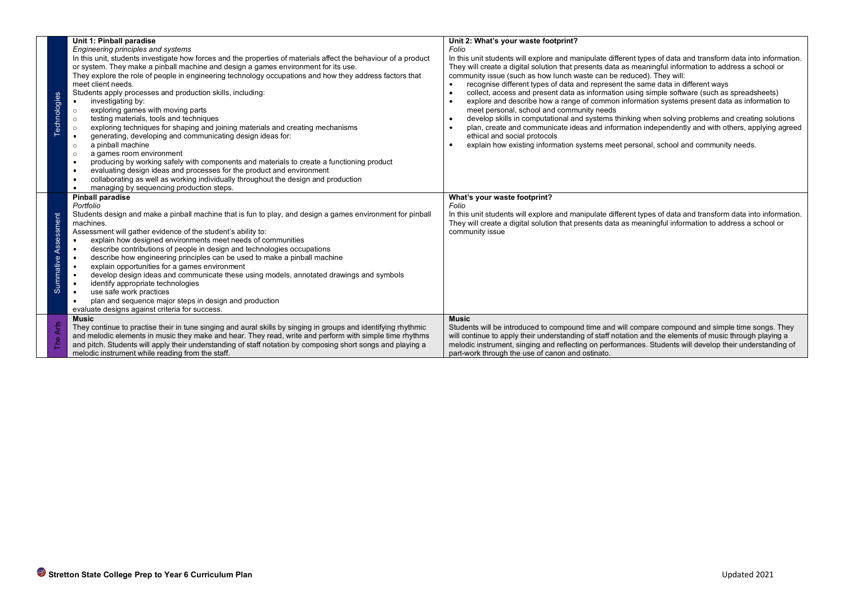| echnologies             | Unit 1: Pinball paradise<br>Engineering principles and systems<br>In this unit, students investigate how forces and the properties of materials affect the behaviour of a product<br>or system. They make a pinball machine and design a games environment for its use.<br>They explore the role of people in engineering technology occupations and how they address factors that<br>meet client needs.<br>Students apply processes and production skills, including:<br>investigating by:<br>exploring games with moving parts<br>$\circ$<br>testing materials, tools and techniques<br>$\circ$<br>exploring techniques for shaping and joining materials and creating mechanisms<br>$\circ$<br>generating, developing and communicating design ideas for:<br>a pinball machine<br>$\circ$<br>a games room environment<br>$\circ$<br>producing by working safely with components and materials to create a functioning product<br>$\bullet$<br>evaluating design ideas and processes for the product and environment<br>collaborating as well as working individually throughout the design and production<br>$\bullet$<br>managing by sequencing production steps. | Unit 2: What's your waste footprint?<br>Folio<br>In this unit students will explore and manipulate different types of data and transform data into information.<br>They will create a digital solution that presents data as meaningful information to address a school or<br>community issue (such as how lunch waste can be reduced). They will:<br>recognise different types of data and represent the same data in different ways<br>collect, access and present data as information using simple software (such as spreadsheets)<br>explore and describe how a range of common information systems present data as information to<br>meet personal, school and community needs<br>develop skills in computational and systems thinking when solving problems and creating solutions<br>plan, create and communicate ideas and information independently and with others, applying agreed<br>ethical and social protocols<br>explain how existing information systems meet personal, school and community needs. |
|-------------------------|-----------------------------------------------------------------------------------------------------------------------------------------------------------------------------------------------------------------------------------------------------------------------------------------------------------------------------------------------------------------------------------------------------------------------------------------------------------------------------------------------------------------------------------------------------------------------------------------------------------------------------------------------------------------------------------------------------------------------------------------------------------------------------------------------------------------------------------------------------------------------------------------------------------------------------------------------------------------------------------------------------------------------------------------------------------------------------------------------------------------------------------------------------------------------|----------------------------------------------------------------------------------------------------------------------------------------------------------------------------------------------------------------------------------------------------------------------------------------------------------------------------------------------------------------------------------------------------------------------------------------------------------------------------------------------------------------------------------------------------------------------------------------------------------------------------------------------------------------------------------------------------------------------------------------------------------------------------------------------------------------------------------------------------------------------------------------------------------------------------------------------------------------------------------------------------------------------|
| Assessment<br>Summative | <b>Pinball paradise</b><br>Portfolio<br>Students design and make a pinball machine that is fun to play, and design a games environment for pinball<br>machines.<br>Assessment will gather evidence of the student's ability to:<br>explain how designed environments meet needs of communities<br>describe contributions of people in design and technologies occupations<br>describe how engineering principles can be used to make a pinball machine<br>explain opportunities for a games environment<br>develop design ideas and communicate these using models, annotated drawings and symbols<br>$\bullet$<br>identify appropriate technologies<br>use safe work practices<br>plan and sequence major steps in design and production<br>evaluate designs against criteria for success.<br>Music                                                                                                                                                                                                                                                                                                                                                                  | What's your waste footprint?<br>Folio<br>In this unit students will explore and manipulate different types of data and transform data into information.<br>They will create a digital solution that presents data as meaningful information to address a school or<br>community issue<br><b>Music</b>                                                                                                                                                                                                                                                                                                                                                                                                                                                                                                                                                                                                                                                                                                                |
|                         | They continue to practise their in tune singing and aural skills by singing in groups and identifying rhythmic<br>and melodic elements in music they make and hear. They read, write and perform with simple time rhythms<br>and pitch. Students will apply their understanding of staff notation by composing short songs and playing a<br>melodic instrument while reading from the staff.                                                                                                                                                                                                                                                                                                                                                                                                                                                                                                                                                                                                                                                                                                                                                                          | Students will be introduced to compound time and will compare compound and simple time songs. They<br>will continue to apply their understanding of staff notation and the elements of music through playing a<br>melodic instrument, singing and reflecting on performances. Students will develop their understanding of<br>part-work through the use of canon and ostinato.                                                                                                                                                                                                                                                                                                                                                                                                                                                                                                                                                                                                                                       |
|                         |                                                                                                                                                                                                                                                                                                                                                                                                                                                                                                                                                                                                                                                                                                                                                                                                                                                                                                                                                                                                                                                                                                                                                                       |                                                                                                                                                                                                                                                                                                                                                                                                                                                                                                                                                                                                                                                                                                                                                                                                                                                                                                                                                                                                                      |
|                         | Stretton State College Prep to Year 6 Curriculum Plan                                                                                                                                                                                                                                                                                                                                                                                                                                                                                                                                                                                                                                                                                                                                                                                                                                                                                                                                                                                                                                                                                                                 | Updated 2021                                                                                                                                                                                                                                                                                                                                                                                                                                                                                                                                                                                                                                                                                                                                                                                                                                                                                                                                                                                                         |